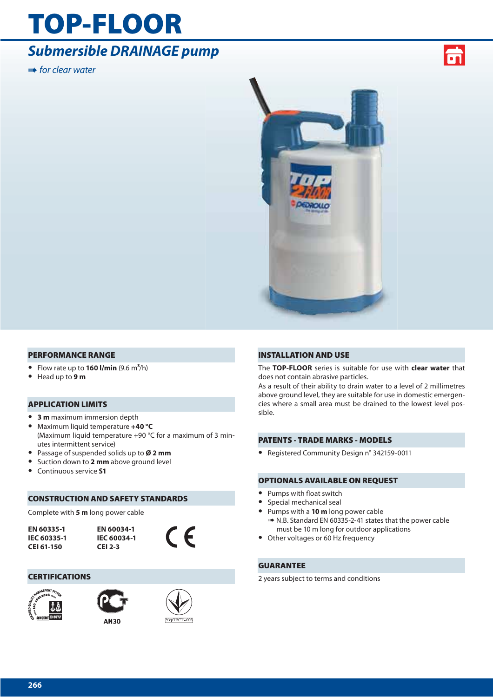## **[TOP-FLOOR](#page--1-0)**

## *Submersible DRAINAGE pump*

**IIIII** for clear water





## **PERFORMANCE RANGE**

- **•** Flow rate up to **160 l/min** (9.6 m**3**/h)
- **•** Head up to **9 m**

## **APPLICATION LIMITS**

- **• 3 m** maximum immersion depth
- **•** Maximum liquid temperature **+40 °C** (Maximum liquid temperature +90 °C for a maximum of 3 minutes intermittent service)
- **•** Passage of suspended solids up to **Ø 2 mm**
- **•** Suction down to **2 mm** above ground level
- **•** Continuous service **S1**

## **CONSTRUCTION AND SAFETY STANDARDS**

Complete with **5 m** long power cable

**EN 60335-1 IEC 60335-1 CEI 61-150**

**EN 60034-1 IEC 60034-1 CEI 2-3**



 $Y<sub>Kp</sub>TECT - 003$ 

## **CERTIFICATIONS**





**АИЗО** 

## **INSTALLATION AND USE**

The **TOP-FLOOR** series is suitable for use with **clear water** that does not contain abrasive particles.

As a result of their ability to drain water to a level of 2 millimetres above ground level, they are suitable for use in domestic emergencies where a small area must be drained to the lowest level possible.

## **PATENTS - TRADE MARKS - MODELS**

**•** Registered Community Design n° 342159-0011

## **OPTIONALS AVAILABLE ON REQUEST**

- Pumps with float switch
- **•** Special mechanical seal
- **•** Pumps with a **10 m** long power cable ➠ N.B. Standard EN 60335-2-41 states that the power cable must be 10 m long for outdoor applications
- **•** Other voltages or 60 Hz frequency

## **GUARANTEE**

2 years subject to terms and conditions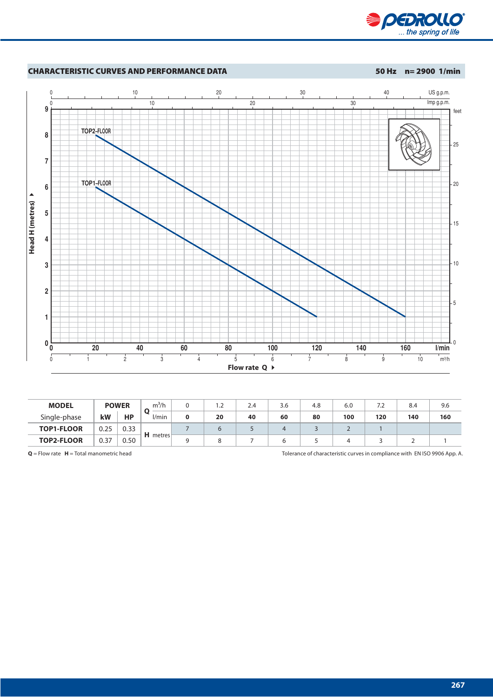



| <b>MODEL</b>      | <b>POWER</b> |      | m <sup>3</sup> /h | .∠ | 2.4 | 3.6 | 4.8 | 6.0 | 7.2 | 8.4 | 9.6 |
|-------------------|--------------|------|-------------------|----|-----|-----|-----|-----|-----|-----|-----|
| Single-phase      | kW           | НP   | /min              | 20 | 40  | 60  | 80  | 100 | 120 | 140 | 160 |
| <b>TOP1-FLOOR</b> | 0.25         | 0.33 |                   |    |     |     |     | ∼   |     |     |     |
| <b>TOP2-FLOOR</b> | 0.37         | 0.50 | $H$ metres        |    |     |     |     |     |     |     |     |

**Q** = Flow rate **H** = Total manometric head Tolerance of characteristic curves in compliance with EN ISO 9906 App. A.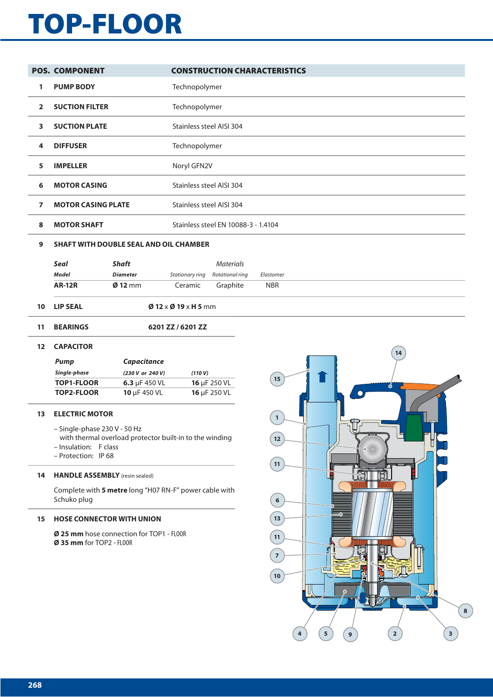# **[TOP-FLOOR](#page--1-0)**

|                | <b>POS. COMPONENT</b>     |                 |                                               | <b>CONSTRUCTION CHARACTERISTICS</b> |            |  |  |  |
|----------------|---------------------------|-----------------|-----------------------------------------------|-------------------------------------|------------|--|--|--|
| 1              | <b>PUMP BODY</b>          |                 | Technopolymer                                 |                                     |            |  |  |  |
| $\mathbf{2}$   | <b>SUCTION FILTER</b>     |                 | Technopolymer                                 |                                     |            |  |  |  |
| 3              | <b>SUCTION PLATE</b>      |                 | Stainless steel AISI 304                      |                                     |            |  |  |  |
| 4              | <b>DIFFUSER</b>           |                 | Technopolymer                                 |                                     |            |  |  |  |
| 5.             | <b>IMPELLER</b>           |                 | Noryl GFN2V                                   |                                     |            |  |  |  |
| 6              | <b>MOTOR CASING</b>       |                 |                                               | Stainless steel AISI 304            |            |  |  |  |
| $\overline{7}$ | <b>MOTOR CASING PLATE</b> |                 | <b>Stainless steel AISI 304</b>               |                                     |            |  |  |  |
| 8              | <b>MOTOR SHAFT</b>        |                 |                                               | Stainless steel EN 10088-3 - 1.4104 |            |  |  |  |
| 9              |                           |                 | <b>SHAFT WITH DOUBLE SEAL AND OIL CHAMBER</b> |                                     |            |  |  |  |
|                | Seal                      | <b>Shaft</b>    |                                               | <b>Materials</b>                    |            |  |  |  |
|                | <b>Model</b>              | <b>Diameter</b> | Stationary ring                               | Rotational ring                     | Elastomer  |  |  |  |
|                | <b>AR-12R</b>             | $Ø$ 12 mm       | Ceramic                                       | Graphite                            | <b>NBR</b> |  |  |  |
| 10             | <b>LIP SEAL</b>           |                 | $\emptyset$ 12 x $\emptyset$ 19 x H 5 mm      |                                     |            |  |  |  |

**11 BEARINGS 6201 ZZ / 6201 ZZ**

### **12 CAPACITOR**

| Pump              | <b>Capacitance</b> |                   |  |  |  |
|-------------------|--------------------|-------------------|--|--|--|
| Single-phase      | (230 V or 240 V)   | (110 V)           |  |  |  |
| <b>TOP1-FLOOR</b> | 6.3 $\mu$ F 450 VL | 16 $\mu$ F 250 VL |  |  |  |
| <b>TOP2-FLOOR</b> | 10 $\mu$ F 450 VL  | 16 µF 250 VL      |  |  |  |

## **13 ELECTRIC MOTOR**

- Single-phase 230 V 50 Hz
- with thermal overload protector built-in to the winding
- Insulation: F class
- Protection: IP 68

## **14 HANDLE ASSEMBLY** (resin sealed)

Complete with **5 metre** long "H07 RN-F" power cable with Schuko plug

### **15 HOSE CONNECTOR WITH UNION**

**Ø 25 mm** hose connection for TOP1 - FLOOR **Ø 35 mm** for TOP2 - FLOOR